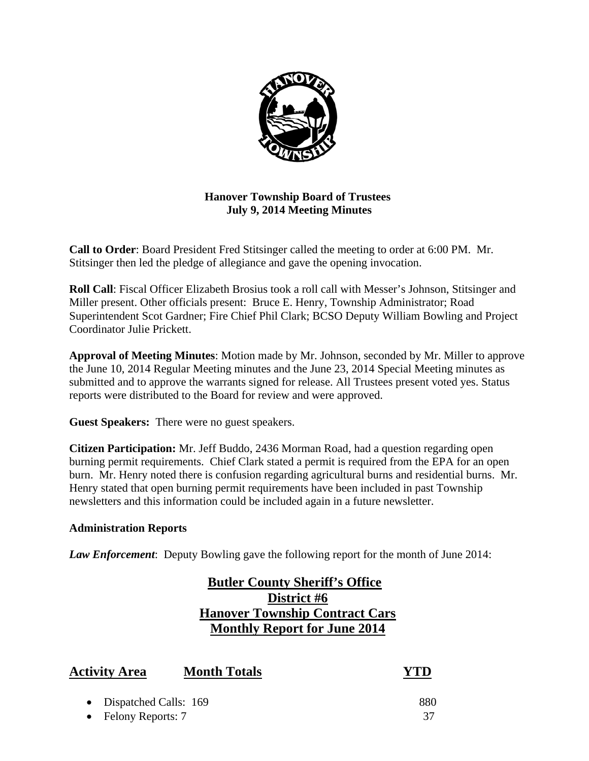

## **Hanover Township Board of Trustees July 9, 2014 Meeting Minutes**

**Call to Order**: Board President Fred Stitsinger called the meeting to order at 6:00 PM. Mr. Stitsinger then led the pledge of allegiance and gave the opening invocation.

**Roll Call**: Fiscal Officer Elizabeth Brosius took a roll call with Messer's Johnson, Stitsinger and Miller present. Other officials present: Bruce E. Henry, Township Administrator; Road Superintendent Scot Gardner; Fire Chief Phil Clark; BCSO Deputy William Bowling and Project Coordinator Julie Prickett.

**Approval of Meeting Minutes**: Motion made by Mr. Johnson, seconded by Mr. Miller to approve the June 10, 2014 Regular Meeting minutes and the June 23, 2014 Special Meeting minutes as submitted and to approve the warrants signed for release. All Trustees present voted yes. Status reports were distributed to the Board for review and were approved.

**Guest Speakers:** There were no guest speakers.

**Citizen Participation:** Mr. Jeff Buddo, 2436 Morman Road, had a question regarding open burning permit requirements. Chief Clark stated a permit is required from the EPA for an open burn. Mr. Henry noted there is confusion regarding agricultural burns and residential burns. Mr. Henry stated that open burning permit requirements have been included in past Township newsletters and this information could be included again in a future newsletter.

## **Administration Reports**

*Law Enforcement*: Deputy Bowling gave the following report for the month of June 2014:

# **Butler County Sheriff's Office District #6 Hanover Township Contract Cars Monthly Report for June 2014**

| <b>Activity Area</b>    | <b>Month Totals</b> | <b>YTD</b> |
|-------------------------|---------------------|------------|
| • Dispatched Calls: 169 |                     | 880        |
| • Felony Reports: $7$   |                     |            |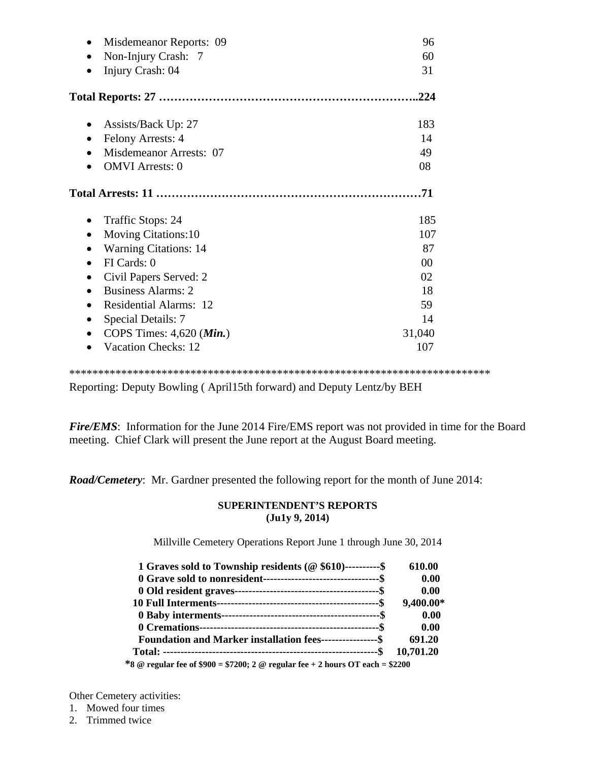| Misdemeanor Reports: 09             | 96     |
|-------------------------------------|--------|
| Non-Injury Crash: 7                 | 60     |
| Injury Crash: 04                    | 31     |
|                                     | .224   |
| Assists/Back Up: 27<br>٠            | 183    |
| Felony Arrests: 4                   | 14     |
| Misdemeanor Arrests: 07             | 49     |
| <b>OMVI</b> Arrests: 0              | 08     |
|                                     |        |
| Traffic Stops: 24<br>٠              | 185    |
| <b>Moving Citations:10</b>          | 107    |
| <b>Warning Citations: 14</b>        | 87     |
| FI Cards: 0<br>$\bullet$            | 00     |
| Civil Papers Served: 2<br>$\bullet$ | 02     |
| <b>Business Alarms: 2</b>           | 18     |
| <b>Residential Alarms: 12</b>       | 59     |
| Special Details: 7<br>$\bullet$     | 14     |
| COPS Times: $4,620$ ( <i>Min.</i> ) | 31,040 |
| <b>Vacation Checks: 12</b>          | 107    |

\*\*\*\*\*\*\*\*\*\*\*\*\*\*\*\*\*\*\*\*\*\*\*\*\*\*\*\*\*\*\*\*\*\*\*\*\*\*\*\*\*\*\*\*\*\*\*\*\*\*\*\*\*\*\*\*\*\*\*\*\*\*\*\*\*\*\*\*\*\*\*\*\*

Reporting: Deputy Bowling ( April15th forward) and Deputy Lentz/by BEH

*Fire/EMS*: Information for the June 2014 Fire/EMS report was not provided in time for the Board meeting. Chief Clark will present the June report at the August Board meeting.

*Road/Cemetery*: Mr. Gardner presented the following report for the month of June 2014:

#### **SUPERINTENDENT'S REPORTS (Ju1y 9, 2014)**

Millville Cemetery Operations Report June 1 through June 30, 2014

| 1 Graves sold to Township residents (@\\$610)----------\$                      | 610.00    |
|--------------------------------------------------------------------------------|-----------|
|                                                                                | 0.00      |
|                                                                                | 0.00      |
|                                                                                | 9,400.00* |
|                                                                                | 0.00      |
|                                                                                | 0.00      |
| Foundation and Marker installation fees-----------------\$                     | 691.20    |
|                                                                                | 10,701.20 |
| *8 @ regular fee of \$900 = \$7200; 2 @ regular fee + 2 hours OT each = \$2200 |           |

Other Cemetery activities:

1. Mowed four times

2. Trimmed twice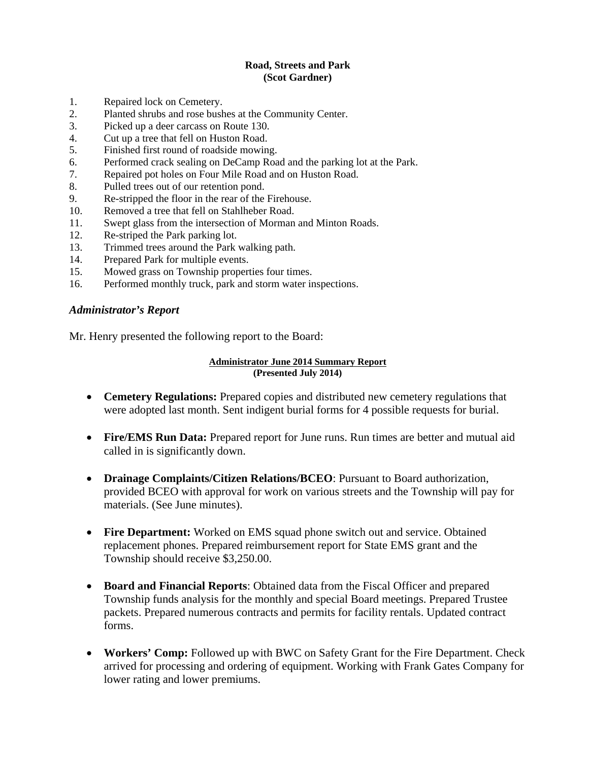#### **Road, Streets and Park (Scot Gardner)**

- 1. Repaired lock on Cemetery.
- 2. Planted shrubs and rose bushes at the Community Center.
- 3. Picked up a deer carcass on Route 130.
- 4. Cut up a tree that fell on Huston Road.
- 5. Finished first round of roadside mowing.
- 6. Performed crack sealing on DeCamp Road and the parking lot at the Park.
- 7. Repaired pot holes on Four Mile Road and on Huston Road.
- 8. Pulled trees out of our retention pond.
- 9. Re-stripped the floor in the rear of the Firehouse.
- 10. Removed a tree that fell on Stahlheber Road.
- 11. Swept glass from the intersection of Morman and Minton Roads.
- 12. Re-striped the Park parking lot.
- 13. Trimmed trees around the Park walking path.
- 14. Prepared Park for multiple events.
- 15. Mowed grass on Township properties four times.
- 16. Performed monthly truck, park and storm water inspections.

### *Administrator's Report*

Mr. Henry presented the following report to the Board:

#### **Administrator June 2014 Summary Report (Presented July 2014)**

- **Cemetery Regulations:** Prepared copies and distributed new cemetery regulations that were adopted last month. Sent indigent burial forms for 4 possible requests for burial.
- Fire/EMS Run Data: Prepared report for June runs. Run times are better and mutual aid called in is significantly down.
- **Drainage Complaints/Citizen Relations/BCEO**: Pursuant to Board authorization, provided BCEO with approval for work on various streets and the Township will pay for materials. (See June minutes).
- **Fire Department:** Worked on EMS squad phone switch out and service. Obtained replacement phones. Prepared reimbursement report for State EMS grant and the Township should receive \$3,250.00.
- **Board and Financial Reports**: Obtained data from the Fiscal Officer and prepared Township funds analysis for the monthly and special Board meetings. Prepared Trustee packets. Prepared numerous contracts and permits for facility rentals. Updated contract forms.
- **Workers' Comp:** Followed up with BWC on Safety Grant for the Fire Department. Check arrived for processing and ordering of equipment. Working with Frank Gates Company for lower rating and lower premiums.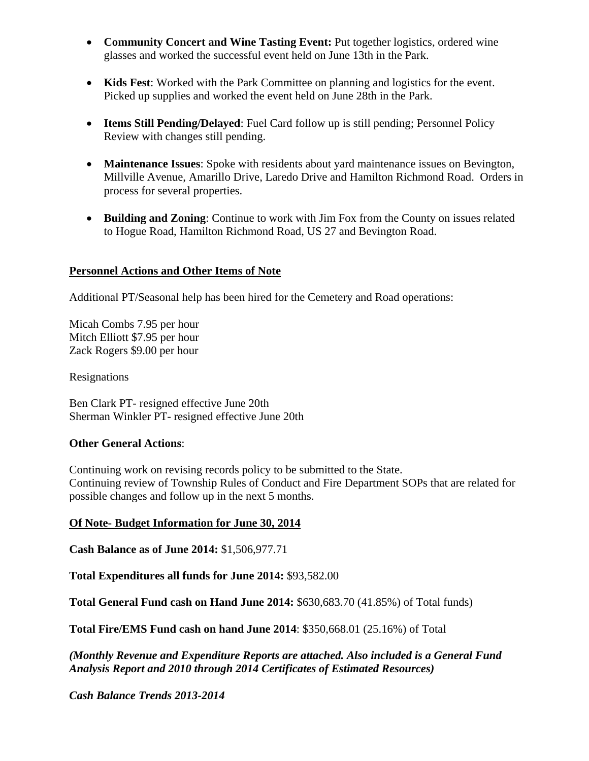- **Community Concert and Wine Tasting Event:** Put together logistics, ordered wine glasses and worked the successful event held on June 13th in the Park.
- **Kids Fest**: Worked with the Park Committee on planning and logistics for the event. Picked up supplies and worked the event held on June 28th in the Park.
- **Items Still Pending/Delayed**: Fuel Card follow up is still pending; Personnel Policy Review with changes still pending.
- **Maintenance Issues**: Spoke with residents about yard maintenance issues on Bevington, Millville Avenue, Amarillo Drive, Laredo Drive and Hamilton Richmond Road. Orders in process for several properties.
- **Building and Zoning**: Continue to work with Jim Fox from the County on issues related to Hogue Road, Hamilton Richmond Road, US 27 and Bevington Road.

### **Personnel Actions and Other Items of Note**

Additional PT/Seasonal help has been hired for the Cemetery and Road operations:

Micah Combs 7.95 per hour Mitch Elliott \$7.95 per hour Zack Rogers \$9.00 per hour

Resignations

Ben Clark PT- resigned effective June 20th Sherman Winkler PT- resigned effective June 20th

#### **Other General Actions**:

Continuing work on revising records policy to be submitted to the State. Continuing review of Township Rules of Conduct and Fire Department SOPs that are related for possible changes and follow up in the next 5 months.

#### **Of Note- Budget Information for June 30, 2014**

**Cash Balance as of June 2014:** \$1,506,977.71

**Total Expenditures all funds for June 2014:** \$93,582.00

**Total General Fund cash on Hand June 2014:** \$630,683.70 (41.85%) of Total funds)

**Total Fire/EMS Fund cash on hand June 2014**: \$350,668.01 (25.16%) of Total

*(Monthly Revenue and Expenditure Reports are attached. Also included is a General Fund Analysis Report and 2010 through 2014 Certificates of Estimated Resources)* 

*Cash Balance Trends 2013-2014*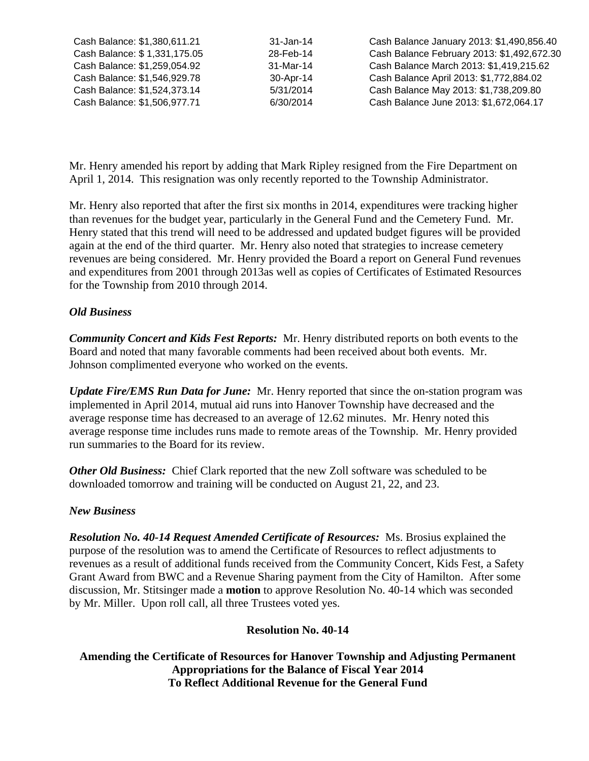| Cash Balance: \$1,380,611.21 | 31-Jan-14 | Cash Balance January 2013: \$1,490,856.40  |
|------------------------------|-----------|--------------------------------------------|
| Cash Balance: \$1,331,175.05 | 28-Feb-14 | Cash Balance February 2013: \$1,492,672.30 |
| Cash Balance: \$1,259,054.92 | 31-Mar-14 | Cash Balance March 2013: \$1,419,215.62    |
| Cash Balance: \$1,546,929.78 | 30-Apr-14 | Cash Balance April 2013: \$1,772,884.02    |
| Cash Balance: \$1,524,373.14 | 5/31/2014 | Cash Balance May 2013: \$1,738,209.80      |
| Cash Balance: \$1,506,977.71 | 6/30/2014 | Cash Balance June 2013: \$1,672,064.17     |

Mr. Henry amended his report by adding that Mark Ripley resigned from the Fire Department on April 1, 2014. This resignation was only recently reported to the Township Administrator.

Mr. Henry also reported that after the first six months in 2014, expenditures were tracking higher than revenues for the budget year, particularly in the General Fund and the Cemetery Fund. Mr. Henry stated that this trend will need to be addressed and updated budget figures will be provided again at the end of the third quarter. Mr. Henry also noted that strategies to increase cemetery revenues are being considered. Mr. Henry provided the Board a report on General Fund revenues and expenditures from 2001 through 2013as well as copies of Certificates of Estimated Resources for the Township from 2010 through 2014.

## *Old Business*

*Community Concert and Kids Fest Reports:* Mr. Henry distributed reports on both events to the Board and noted that many favorable comments had been received about both events. Mr. Johnson complimented everyone who worked on the events.

*Update Fire/EMS Run Data for June:* Mr. Henry reported that since the on-station program was implemented in April 2014, mutual aid runs into Hanover Township have decreased and the average response time has decreased to an average of 12.62 minutes. Mr. Henry noted this average response time includes runs made to remote areas of the Township. Mr. Henry provided run summaries to the Board for its review.

*Other Old Business:* Chief Clark reported that the new Zoll software was scheduled to be downloaded tomorrow and training will be conducted on August 21, 22, and 23.

## *New Business*

*Resolution No. 40-14 Request Amended Certificate of Resources:* Ms. Brosius explained the purpose of the resolution was to amend the Certificate of Resources to reflect adjustments to revenues as a result of additional funds received from the Community Concert, Kids Fest, a Safety Grant Award from BWC and a Revenue Sharing payment from the City of Hamilton. After some discussion, Mr. Stitsinger made a **motion** to approve Resolution No. 40-14 which was seconded by Mr. Miller. Upon roll call, all three Trustees voted yes.

#### **Resolution No. 40-14**

**Amending the Certificate of Resources for Hanover Township and Adjusting Permanent Appropriations for the Balance of Fiscal Year 2014 To Reflect Additional Revenue for the General Fund**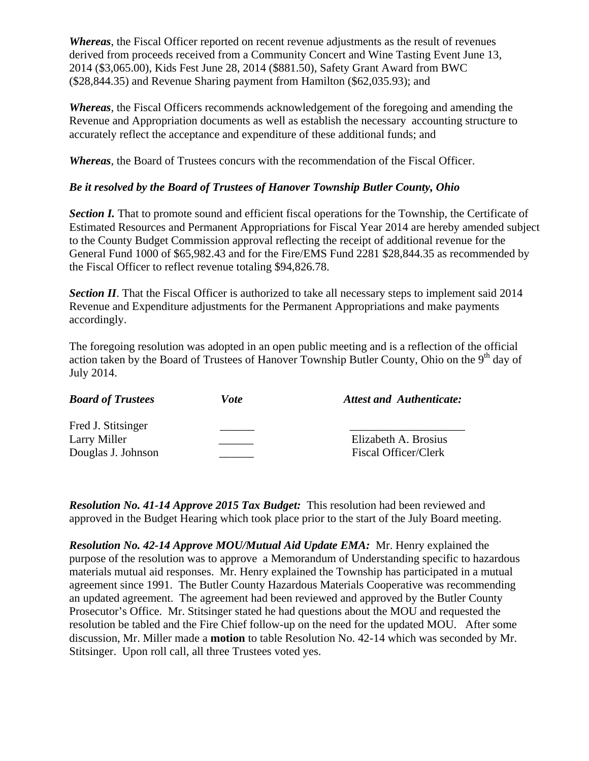*Whereas*, the Fiscal Officer reported on recent revenue adjustments as the result of revenues derived from proceeds received from a Community Concert and Wine Tasting Event June 13, 2014 (\$3,065.00), Kids Fest June 28, 2014 (\$881.50), Safety Grant Award from BWC (\$28,844.35) and Revenue Sharing payment from Hamilton (\$62,035.93); and

*Whereas*, the Fiscal Officers recommends acknowledgement of the foregoing and amending the Revenue and Appropriation documents as well as establish the necessary accounting structure to accurately reflect the acceptance and expenditure of these additional funds; and

*Whereas*, the Board of Trustees concurs with the recommendation of the Fiscal Officer.

## *Be it resolved by the Board of Trustees of Hanover Township Butler County, Ohio*

**Section I.** That to promote sound and efficient fiscal operations for the Township, the Certificate of Estimated Resources and Permanent Appropriations for Fiscal Year 2014 are hereby amended subject to the County Budget Commission approval reflecting the receipt of additional revenue for the General Fund 1000 of \$65,982.43 and for the Fire/EMS Fund 2281 \$28,844.35 as recommended by the Fiscal Officer to reflect revenue totaling \$94,826.78.

**Section II.** That the Fiscal Officer is authorized to take all necessary steps to implement said 2014 Revenue and Expenditure adjustments for the Permanent Appropriations and make payments accordingly.

The foregoing resolution was adopted in an open public meeting and is a reflection of the official action taken by the Board of Trustees of Hanover Township Butler County, Ohio on the  $9<sup>th</sup>$  day of July 2014.

| <b>Board of Trustees</b>           | Vote | <b>Attest and Authenticate:</b>              |
|------------------------------------|------|----------------------------------------------|
| Fred J. Stitsinger                 |      |                                              |
| Larry Miller<br>Douglas J. Johnson |      | Elizabeth A. Brosius<br>Fiscal Officer/Clerk |

*Resolution No. 41-14 Approve 2015 Tax Budget:* This resolution had been reviewed and approved in the Budget Hearing which took place prior to the start of the July Board meeting.

*Resolution No. 42-14 Approve MOU/Mutual Aid Update EMA:* Mr. Henry explained the purpose of the resolution was to approve a Memorandum of Understanding specific to hazardous materials mutual aid responses. Mr. Henry explained the Township has participated in a mutual agreement since 1991. The Butler County Hazardous Materials Cooperative was recommending an updated agreement. The agreement had been reviewed and approved by the Butler County Prosecutor's Office. Mr. Stitsinger stated he had questions about the MOU and requested the resolution be tabled and the Fire Chief follow-up on the need for the updated MOU. After some discussion, Mr. Miller made a **motion** to table Resolution No. 42-14 which was seconded by Mr. Stitsinger. Upon roll call, all three Trustees voted yes.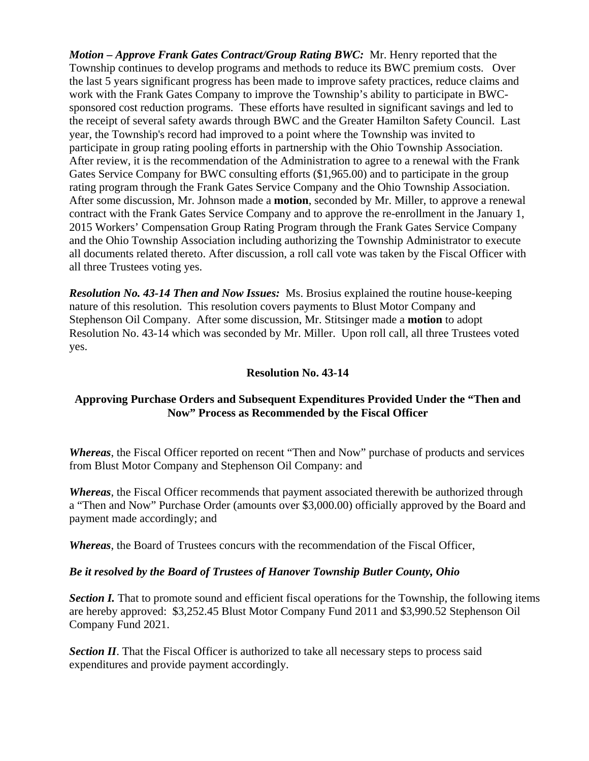*Motion – Approve Frank Gates Contract/Group Rating BWC:* Mr. Henry reported that the Township continues to develop programs and methods to reduce its BWC premium costs. Over the last 5 years significant progress has been made to improve safety practices, reduce claims and work with the Frank Gates Company to improve the Township's ability to participate in BWCsponsored cost reduction programs. These efforts have resulted in significant savings and led to the receipt of several safety awards through BWC and the Greater Hamilton Safety Council. Last year, the Township's record had improved to a point where the Township was invited to participate in group rating pooling efforts in partnership with the Ohio Township Association. After review, it is the recommendation of the Administration to agree to a renewal with the Frank Gates Service Company for BWC consulting efforts (\$1,965.00) and to participate in the group rating program through the Frank Gates Service Company and the Ohio Township Association. After some discussion, Mr. Johnson made a **motion**, seconded by Mr. Miller, to approve a renewal contract with the Frank Gates Service Company and to approve the re-enrollment in the January 1, 2015 Workers' Compensation Group Rating Program through the Frank Gates Service Company and the Ohio Township Association including authorizing the Township Administrator to execute all documents related thereto. After discussion, a roll call vote was taken by the Fiscal Officer with all three Trustees voting yes.

*Resolution No. 43-14 Then and Now Issues:* Ms. Brosius explained the routine house-keeping nature of this resolution. This resolution covers payments to Blust Motor Company and Stephenson Oil Company. After some discussion, Mr. Stitsinger made a **motion** to adopt Resolution No. 43-14 which was seconded by Mr. Miller. Upon roll call, all three Trustees voted yes.

## **Resolution No. 43-14**

## **Approving Purchase Orders and Subsequent Expenditures Provided Under the "Then and Now" Process as Recommended by the Fiscal Officer**

*Whereas*, the Fiscal Officer reported on recent "Then and Now" purchase of products and services from Blust Motor Company and Stephenson Oil Company: and

*Whereas*, the Fiscal Officer recommends that payment associated therewith be authorized through a "Then and Now" Purchase Order (amounts over \$3,000.00) officially approved by the Board and payment made accordingly; and

*Whereas*, the Board of Trustees concurs with the recommendation of the Fiscal Officer,

#### *Be it resolved by the Board of Trustees of Hanover Township Butler County, Ohio*

*Section I.* That to promote sound and efficient fiscal operations for the Township, the following items are hereby approved: \$3,252.45 Blust Motor Company Fund 2011 and \$3,990.52 Stephenson Oil Company Fund 2021.

**Section II**. That the Fiscal Officer is authorized to take all necessary steps to process said expenditures and provide payment accordingly.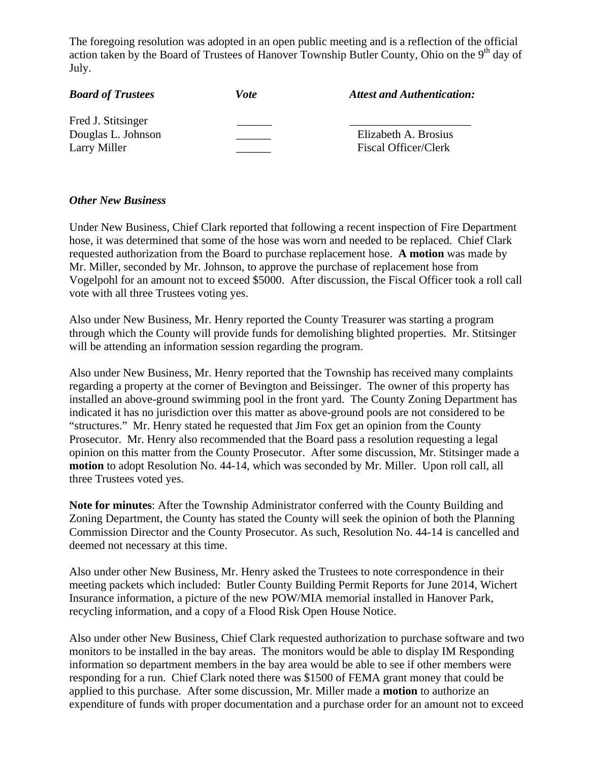The foregoing resolution was adopted in an open public meeting and is a reflection of the official action taken by the Board of Trustees of Hanover Township Butler County, Ohio on the  $9<sup>th</sup>$  day of July.

| <b>Board of Trustees</b>                 | Vote | <b>Attest and Authentication:</b> |
|------------------------------------------|------|-----------------------------------|
| Fred J. Stitsinger<br>Douglas L. Johnson |      | Elizabeth A. Brosius              |
| Larry Miller                             |      | Fiscal Officer/Clerk              |

#### *Other New Business*

Under New Business, Chief Clark reported that following a recent inspection of Fire Department hose, it was determined that some of the hose was worn and needed to be replaced. Chief Clark requested authorization from the Board to purchase replacement hose. **A motion** was made by Mr. Miller, seconded by Mr. Johnson, to approve the purchase of replacement hose from Vogelpohl for an amount not to exceed \$5000. After discussion, the Fiscal Officer took a roll call vote with all three Trustees voting yes.

Also under New Business, Mr. Henry reported the County Treasurer was starting a program through which the County will provide funds for demolishing blighted properties. Mr. Stitsinger will be attending an information session regarding the program.

Also under New Business, Mr. Henry reported that the Township has received many complaints regarding a property at the corner of Bevington and Beissinger. The owner of this property has installed an above-ground swimming pool in the front yard. The County Zoning Department has indicated it has no jurisdiction over this matter as above-ground pools are not considered to be "structures." Mr. Henry stated he requested that Jim Fox get an opinion from the County Prosecutor. Mr. Henry also recommended that the Board pass a resolution requesting a legal opinion on this matter from the County Prosecutor. After some discussion, Mr. Stitsinger made a **motion** to adopt Resolution No. 44-14, which was seconded by Mr. Miller. Upon roll call, all three Trustees voted yes.

**Note for minutes**: After the Township Administrator conferred with the County Building and Zoning Department, the County has stated the County will seek the opinion of both the Planning Commission Director and the County Prosecutor. As such, Resolution No. 44-14 is cancelled and deemed not necessary at this time.

Also under other New Business, Mr. Henry asked the Trustees to note correspondence in their meeting packets which included: Butler County Building Permit Reports for June 2014, Wichert Insurance information, a picture of the new POW/MIA memorial installed in Hanover Park, recycling information, and a copy of a Flood Risk Open House Notice.

Also under other New Business, Chief Clark requested authorization to purchase software and two monitors to be installed in the bay areas. The monitors would be able to display IM Responding information so department members in the bay area would be able to see if other members were responding for a run. Chief Clark noted there was \$1500 of FEMA grant money that could be applied to this purchase. After some discussion, Mr. Miller made a **motion** to authorize an expenditure of funds with proper documentation and a purchase order for an amount not to exceed